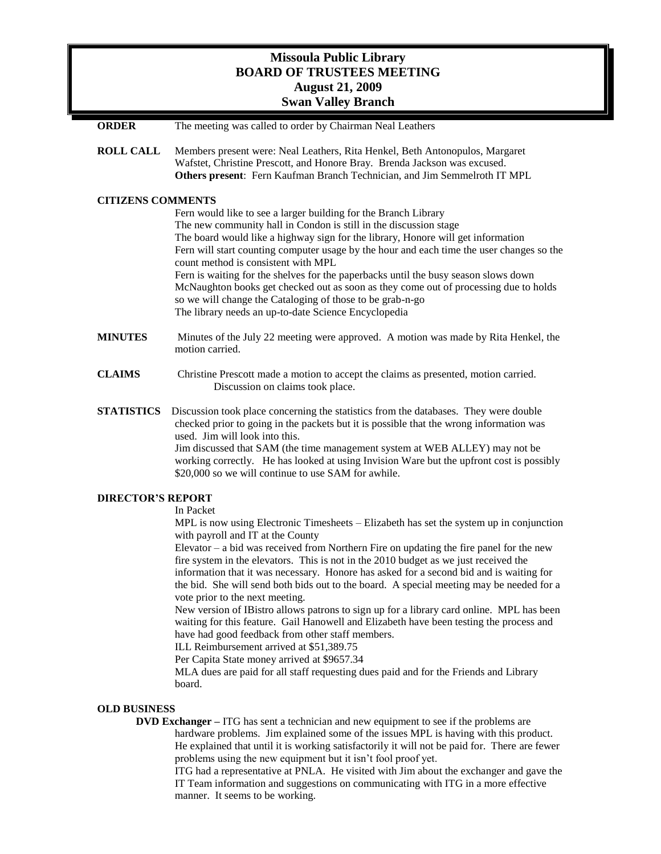# **Missoula Public Library BOARD OF TRUSTEES MEETING August 21, 2009 Swan Valley Branch**

| <b>ORDER</b>                                                                                | The meeting was called to order by Chairman Neal Leathers                                                                                                                                                                                                                                                                                                                                                                                           |
|---------------------------------------------------------------------------------------------|-----------------------------------------------------------------------------------------------------------------------------------------------------------------------------------------------------------------------------------------------------------------------------------------------------------------------------------------------------------------------------------------------------------------------------------------------------|
| <b>ROLL CALL</b>                                                                            | Members present were: Neal Leathers, Rita Henkel, Beth Antonopulos, Margaret<br>Wafstet, Christine Prescott, and Honore Bray. Brenda Jackson was excused.<br>Others present: Fern Kaufman Branch Technician, and Jim Semmelroth IT MPL                                                                                                                                                                                                              |
| <b>CITIZENS COMMENTS</b><br>Fern would like to see a larger building for the Branch Library |                                                                                                                                                                                                                                                                                                                                                                                                                                                     |
|                                                                                             | The new community hall in Condon is still in the discussion stage                                                                                                                                                                                                                                                                                                                                                                                   |
|                                                                                             | The board would like a highway sign for the library, Honore will get information<br>Fern will start counting computer usage by the hour and each time the user changes so the<br>count method is consistent with MPL                                                                                                                                                                                                                                |
|                                                                                             | Fern is waiting for the shelves for the paperbacks until the busy season slows down<br>McNaughton books get checked out as soon as they come out of processing due to holds<br>so we will change the Cataloging of those to be grab-n-go<br>The library needs an up-to-date Science Encyclopedia                                                                                                                                                    |
| <b>MINUTES</b>                                                                              | Minutes of the July 22 meeting were approved. A motion was made by Rita Henkel, the<br>motion carried.                                                                                                                                                                                                                                                                                                                                              |
| <b>CLAIMS</b>                                                                               | Christine Prescott made a motion to accept the claims as presented, motion carried.<br>Discussion on claims took place.                                                                                                                                                                                                                                                                                                                             |
| <b>STATISTICS</b>                                                                           | Discussion took place concerning the statistics from the databases. They were double<br>checked prior to going in the packets but it is possible that the wrong information was<br>used. Jim will look into this.<br>Jim discussed that SAM (the time management system at WEB ALLEY) may not be<br>working correctly. He has looked at using Invision Ware but the upfront cost is possibly<br>\$20,000 so we will continue to use SAM for awhile. |

### **DIRECTOR'S REPORT**

## In Packet

MPL is now using Electronic Timesheets – Elizabeth has set the system up in conjunction with payroll and IT at the County

Elevator – a bid was received from Northern Fire on updating the fire panel for the new fire system in the elevators. This is not in the 2010 budget as we just received the information that it was necessary. Honore has asked for a second bid and is waiting for the bid. She will send both bids out to the board. A special meeting may be needed for a vote prior to the next meeting.

New version of IBistro allows patrons to sign up for a library card online. MPL has been waiting for this feature. Gail Hanowell and Elizabeth have been testing the process and have had good feedback from other staff members.

ILL Reimbursement arrived at \$51,389.75

Per Capita State money arrived at \$9657.34

MLA dues are paid for all staff requesting dues paid and for the Friends and Library board.

#### **OLD BUSINESS**

**DVD Exchanger –** ITG has sent a technician and new equipment to see if the problems are hardware problems. Jim explained some of the issues MPL is having with this product. He explained that until it is working satisfactorily it will not be paid for. There are fewer problems using the new equipment but it isn't fool proof yet.

ITG had a representative at PNLA. He visited with Jim about the exchanger and gave the IT Team information and suggestions on communicating with ITG in a more effective manner. It seems to be working.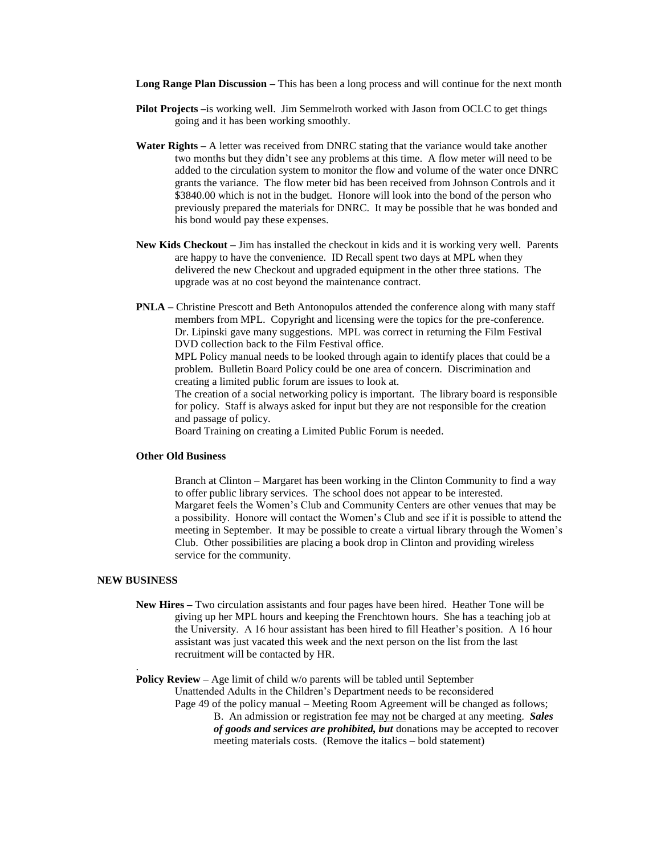**Long Range Plan Discussion –** This has been a long process and will continue for the next month

- **Pilot Projects** is working well. Jim Semmelroth worked with Jason from OCLC to get things going and it has been working smoothly.
- **Water Rights** A letter was received from DNRC stating that the variance would take another two months but they didn't see any problems at this time. A flow meter will need to be added to the circulation system to monitor the flow and volume of the water once DNRC grants the variance. The flow meter bid has been received from Johnson Controls and it \$3840.00 which is not in the budget. Honore will look into the bond of the person who previously prepared the materials for DNRC. It may be possible that he was bonded and his bond would pay these expenses.
- **New Kids Checkout –** Jim has installed the checkout in kids and it is working very well. Parents are happy to have the convenience. ID Recall spent two days at MPL when they delivered the new Checkout and upgraded equipment in the other three stations. The upgrade was at no cost beyond the maintenance contract.
- **PNLA –** Christine Prescott and Beth Antonopulos attended the conference along with many staff members from MPL. Copyright and licensing were the topics for the pre-conference. Dr. Lipinski gave many suggestions. MPL was correct in returning the Film Festival DVD collection back to the Film Festival office.

MPL Policy manual needs to be looked through again to identify places that could be a problem. Bulletin Board Policy could be one area of concern. Discrimination and creating a limited public forum are issues to look at.

The creation of a social networking policy is important. The library board is responsible for policy. Staff is always asked for input but they are not responsible for the creation and passage of policy.

Board Training on creating a Limited Public Forum is needed.

### **Other Old Business**

Branch at Clinton – Margaret has been working in the Clinton Community to find a way to offer public library services. The school does not appear to be interested. Margaret feels the Women's Club and Community Centers are other venues that may be a possibility. Honore will contact the Women's Club and see if it is possible to attend the meeting in September. It may be possible to create a virtual library through the Women's Club. Other possibilities are placing a book drop in Clinton and providing wireless service for the community.

#### **NEW BUSINESS**

.

**New Hires –** Two circulation assistants and four pages have been hired. Heather Tone will be giving up her MPL hours and keeping the Frenchtown hours. She has a teaching job at the University. A 16 hour assistant has been hired to fill Heather's position. A 16 hour assistant was just vacated this week and the next person on the list from the last recruitment will be contacted by HR.

**Policy Review** – Age limit of child w/o parents will be tabled until September Unattended Adults in the Children's Department needs to be reconsidered Page 49 of the policy manual – Meeting Room Agreement will be changed as follows; B. An admission or registration fee may not be charged at any meeting. *Sales of goods and services are prohibited, but* donations may be accepted to recover meeting materials costs. (Remove the italics – bold statement)